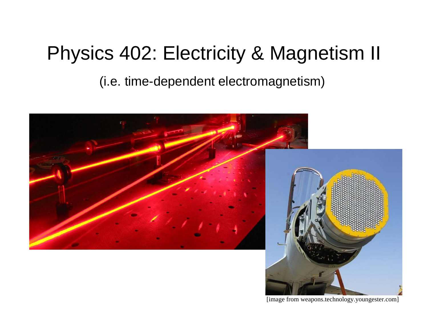# Physics 402: Electricity & Magnetism II

(i.e. time-dependent electromagnetism)



[image from weapons.technology.youngester.com]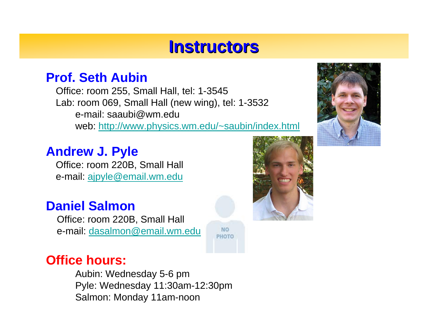## **Instructors Instructors**

**NO** PHOTO

### **Prof. Seth Aubin**

Office: room 255, Small Hall, tel: 1-3545 Lab: room 069, Small Hall (new wing), tel: 1-3532 e-mail: saaubi@wm.edu web:<http://www.physics.wm.edu/~saubin/index.html>

## **Andrew J. Pyle**

Office: room 220B, Small Hall e-mail: [ajpyle@email.wm.edu](mailto:ajpyle@email.wm.edu)

## **Daniel Salmon**

Office: room 220B, Small Hall e-mail: [dasalmon@email.wm.edu](mailto:dasalmon@email.wm.edu)

### **Office hours:**

Aubin: Wednesday 5-6 pm Pyle: Wednesday 11:30am-12:30pm Salmon: Monday 11am-noon



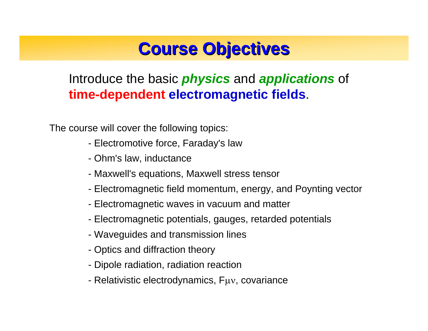# **Course Objectives Course Objectives**

## Introduce the basic *physics* and *applications* of **time-dependent electromagnetic fields**.

The course will cover the following topics:

- Electromotive force, Faraday's law
- Ohm's law, inductance
- Maxwell's equations, Maxwell stress tensor
- Electromagnetic field momentum, energy, and Poynting vector
- Electromagnetic waves in vacuum and matter
- Electromagnetic potentials, gauges, retarded potentials
- Waveguides and transmission lines
- Optics and diffraction theory
- Dipole radiation, radiation reaction
- Relativistic electrodynamics, Fμν, covariance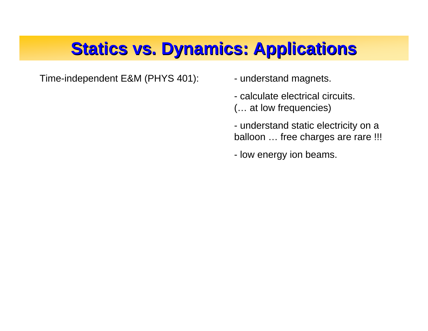# **Statics vs. Dynamics: Applications Statics vs. Dynamics: Applications**

Time-independent E&M (PHYS 401): - understand magnets.

- 
- calculate electrical circuits.
- (… at low frequencies)
- understand static electricity on a balloon ... free charges are rare !!!
- low energy ion beams.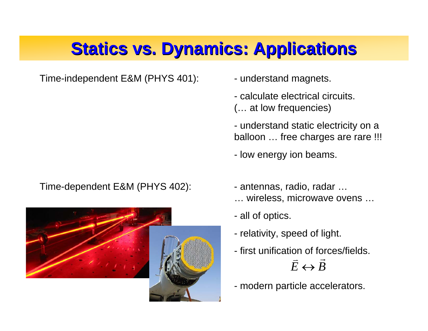# **Statics vs. Dynamics: Applications Statics vs. Dynamics: Applications**

Time-independent E&M (PHYS 401): - understand magnets.

Time-dependent E&M (PHYS 402): - antennas, radio, radar ...



- 
- calculate electrical circuits.
- (… at low frequencies)
- understand static electricity on a balloon ... free charges are rare !!!
- low energy ion beams.
- 
- … wireless, microwave ovens …
- all of optics.
- relativity, speed of light.
- first unification of forces/fields.  $\vec{E} \leftrightarrow \vec{B}$  $\leftrightarrow$
- modern particle accelerators.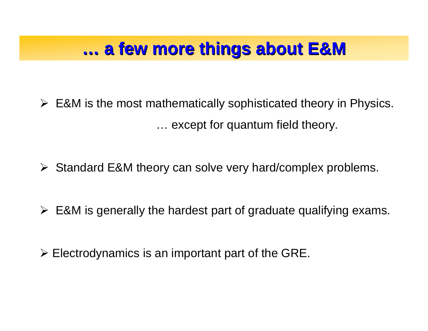#### **…a few more things about E&M a few more things about E&M**

¾ E&M is the most mathematically sophisticated theory in Physics. … except for quantum field theory.

- ¾Standard E&M theory can solve very hard/complex problems.
- $\triangleright$  E&M is generally the hardest part of graduate qualifying exams.
- $\triangleright$  Electrodynamics is an important part of the GRE.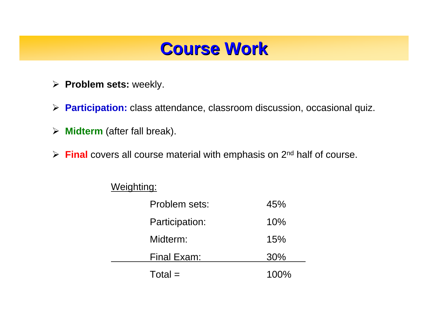## **Course Work Course Work**

- ¾ **Problem sets:** weekly.
- ¾ **Participation:** class attendance, classroom discussion, occasional quiz.
- ¾ **Midterm** (after fall break).
- ¾ **Final** covers all course material with emphasis on 2nd half of course.

#### Weighting:

| Problem sets:  | 45%  |
|----------------|------|
| Participation: | 10%  |
| Midterm:       | 15%  |
| Final Exam:    | 30%  |
| $Total =$      | 100% |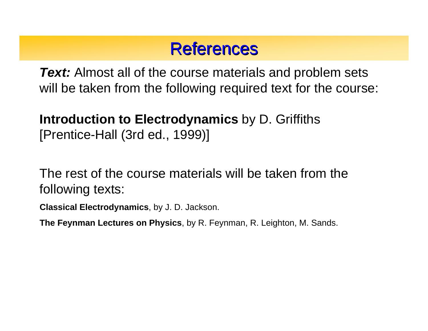## **References**

*Text:* Almost all of the course materials and problem sets will be taken from the following required text for the course:

## **Introduction to Electrodynamics** by D. Griffiths [Prentice-Hall (3rd ed., 1999)]

The rest of the course materials will be taken from the following texts:

**Classical Electrodynamics**, by J. D. Jackson.

**The Feynman Lectures on Physics**, by R. Feynman, R. Leighton, M. Sands.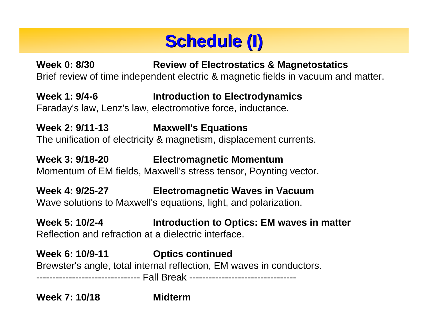

**Week 0: 8/30 Review of Electrostatics & Magnetostatics** Brief review of time independent electric & magnetic fields in vacuum and matter.

**Week 1: 9/4-6 Introduction to Electrodynamics** Faraday's law, Lenz's law, electromotive force, inductance.

**Week 2: 9/11-13 Maxwell's Equations** The unification of electricity & magnetism, displacement currents.

**Week 3: 9/18-20 Electromagnetic Momentum** Momentum of EM fields, Maxwell's stress tensor, Poynting vector.

**Week 4: 9/25-27 Electromagnetic Waves in Vacuum** Wave solutions to Maxwell's equations, light, and polarization.

**Week 5: 10/2-4 Introduction to Optics: EM waves in matter** Reflection and refraction at a dielectric interface.

**Week 6: 10/9-11 Optics continued** Brewster's angle, total internal reflection, EM waves in conductors. -------------------------------- Fall Break ---------------------------------

**Week 7: 10/18**

**Midterm**